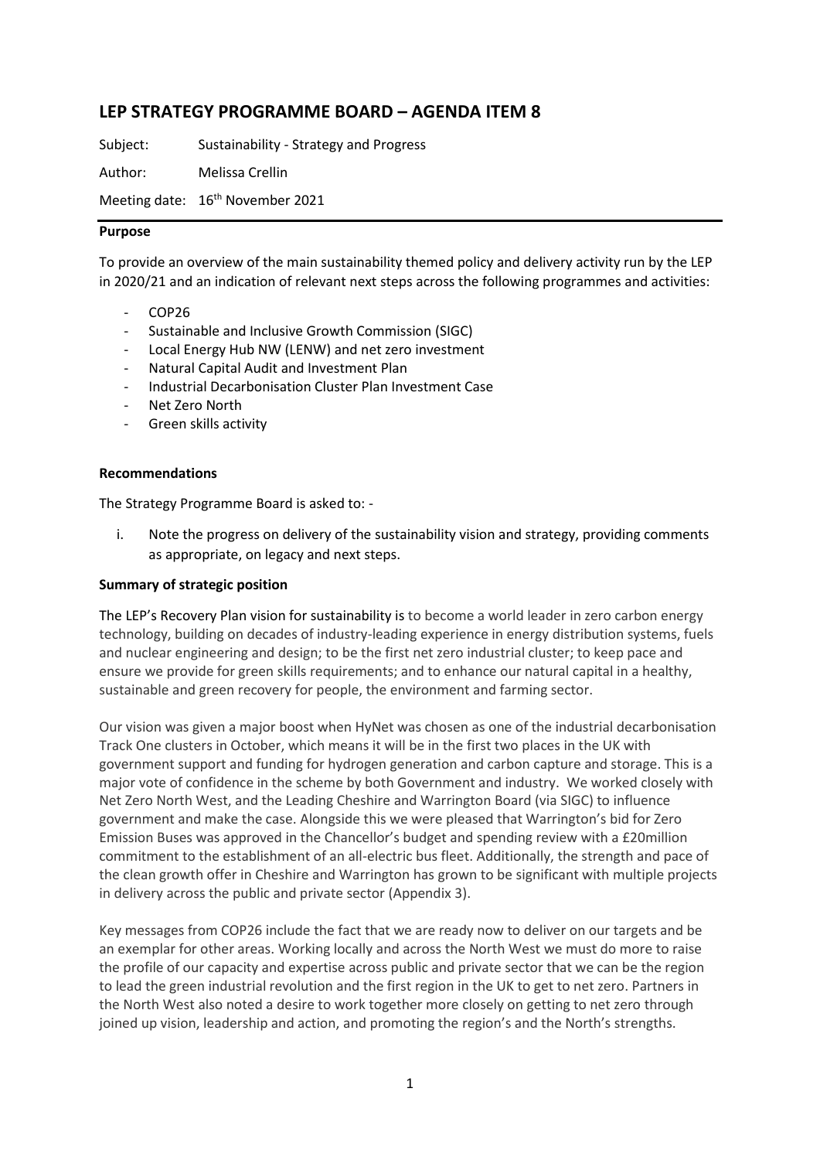## **LEP STRATEGY PROGRAMME BOARD – AGENDA ITEM 8**

Subject: Sustainability - Strategy and Progress

Author: Melissa Crellin

Meeting date: 16<sup>th</sup> November 2021

#### **Purpose**

To provide an overview of the main sustainability themed policy and delivery activity run by the LEP in 2020/21 and an indication of relevant next steps across the following programmes and activities:

- COP26
- Sustainable and Inclusive Growth Commission (SIGC)
- Local Energy Hub NW (LENW) and net zero investment
- Natural Capital Audit and Investment Plan
- Industrial Decarbonisation Cluster Plan Investment Case
- Net Zero North
- Green skills activity

#### **Recommendations**

The Strategy Programme Board is asked to: -

i. Note the progress on delivery of the sustainability vision and strategy, providing comments as appropriate, on legacy and next steps.

#### **Summary of strategic position**

The LEP's Recovery Plan vision for sustainability is to become a world leader in zero carbon energy technology, building on decades of industry-leading experience in energy distribution systems, fuels and nuclear engineering and design; to be the first net zero industrial cluster; to keep pace and ensure we provide for green skills requirements; and to enhance our natural capital in a healthy, sustainable and green recovery for people, the environment and farming sector.

Our vision was given a major boost when HyNet was chosen as one of the industrial decarbonisation Track One clusters in October, which means it will be in the first two places in the UK with government support and funding for hydrogen generation and carbon capture and storage. This is a major vote of confidence in the scheme by both Government and industry. We worked closely with Net Zero North West, and the Leading Cheshire and Warrington Board (via SIGC) to influence government and make the case. Alongside this we were pleased that Warrington's bid for Zero Emission Buses was approved in the Chancellor's budget and spending review with a £20million commitment to the establishment of an all-electric bus fleet. Additionally, the strength and pace of the clean growth offer in Cheshire and Warrington has grown to be significant with multiple projects in delivery across the public and private sector (Appendix 3).

Key messages from COP26 include the fact that we are ready now to deliver on our targets and be an exemplar for other areas. Working locally and across the North West we must do more to raise the profile of our capacity and expertise across public and private sector that we can be the region to lead the green industrial revolution and the first region in the UK to get to net zero. Partners in the North West also noted a desire to work together more closely on getting to net zero through joined up vision, leadership and action, and promoting the region's and the North's strengths.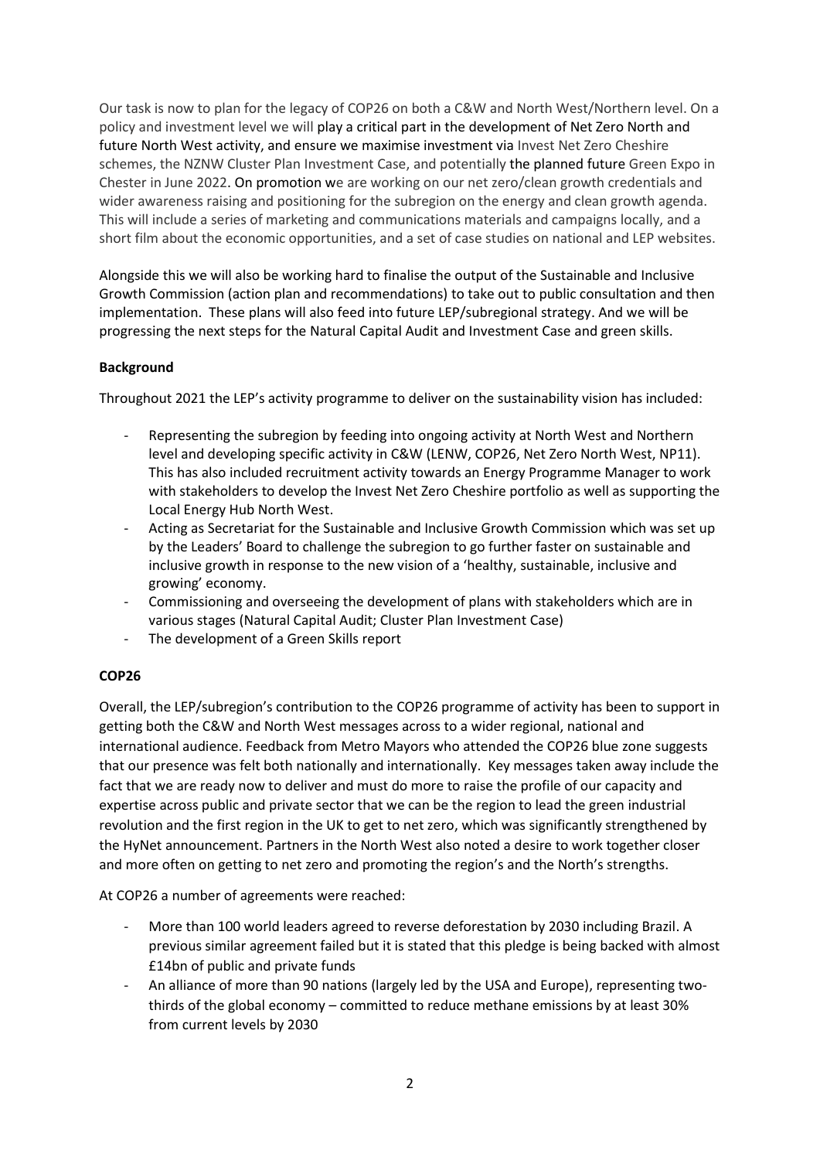Our task is now to plan for the legacy of COP26 on both a C&W and North West/Northern level. On a policy and investment level we will play a critical part in the development of Net Zero North and future North West activity, and ensure we maximise investment via Invest Net Zero Cheshire schemes, the NZNW Cluster Plan Investment Case, and potentially the planned future Green Expo in Chester in June 2022. On promotion we are working on our net zero/clean growth credentials and wider awareness raising and positioning for the subregion on the energy and clean growth agenda. This will include a series of marketing and communications materials and campaigns locally, and a short film about the economic opportunities, and a set of case studies on national and LEP websites.

Alongside this we will also be working hard to finalise the output of the Sustainable and Inclusive Growth Commission (action plan and recommendations) to take out to public consultation and then implementation. These plans will also feed into future LEP/subregional strategy. And we will be progressing the next steps for the Natural Capital Audit and Investment Case and green skills.

### **Background**

Throughout 2021 the LEP's activity programme to deliver on the sustainability vision has included:

- Representing the subregion by feeding into ongoing activity at North West and Northern level and developing specific activity in C&W (LENW, COP26, Net Zero North West, NP11). This has also included recruitment activity towards an Energy Programme Manager to work with stakeholders to develop the Invest Net Zero Cheshire portfolio as well as supporting the Local Energy Hub North West.
- Acting as Secretariat for the Sustainable and Inclusive Growth Commission which was set up by the Leaders' Board to challenge the subregion to go further faster on sustainable and inclusive growth in response to the new vision of a 'healthy, sustainable, inclusive and growing' economy.
- Commissioning and overseeing the development of plans with stakeholders which are in various stages (Natural Capital Audit; Cluster Plan Investment Case)
- The development of a Green Skills report

## **COP26**

Overall, the LEP/subregion's contribution to the COP26 programme of activity has been to support in getting both the C&W and North West messages across to a wider regional, national and international audience. Feedback from Metro Mayors who attended the COP26 blue zone suggests that our presence was felt both nationally and internationally. Key messages taken away include the fact that we are ready now to deliver and must do more to raise the profile of our capacity and expertise across public and private sector that we can be the region to lead the green industrial revolution and the first region in the UK to get to net zero, which was significantly strengthened by the HyNet announcement. Partners in the North West also noted a desire to work together closer and more often on getting to net zero and promoting the region's and the North's strengths.

At COP26 a number of agreements were reached:

- More than 100 world leaders agreed to reverse deforestation by 2030 including Brazil. A previous similar agreement failed but it is stated that this pledge is being backed with almost £14bn of public and private funds
- An alliance of more than 90 nations (largely led by the USA and Europe), representing twothirds of the global economy – committed to reduce methane emissions by at least 30% from current levels by 2030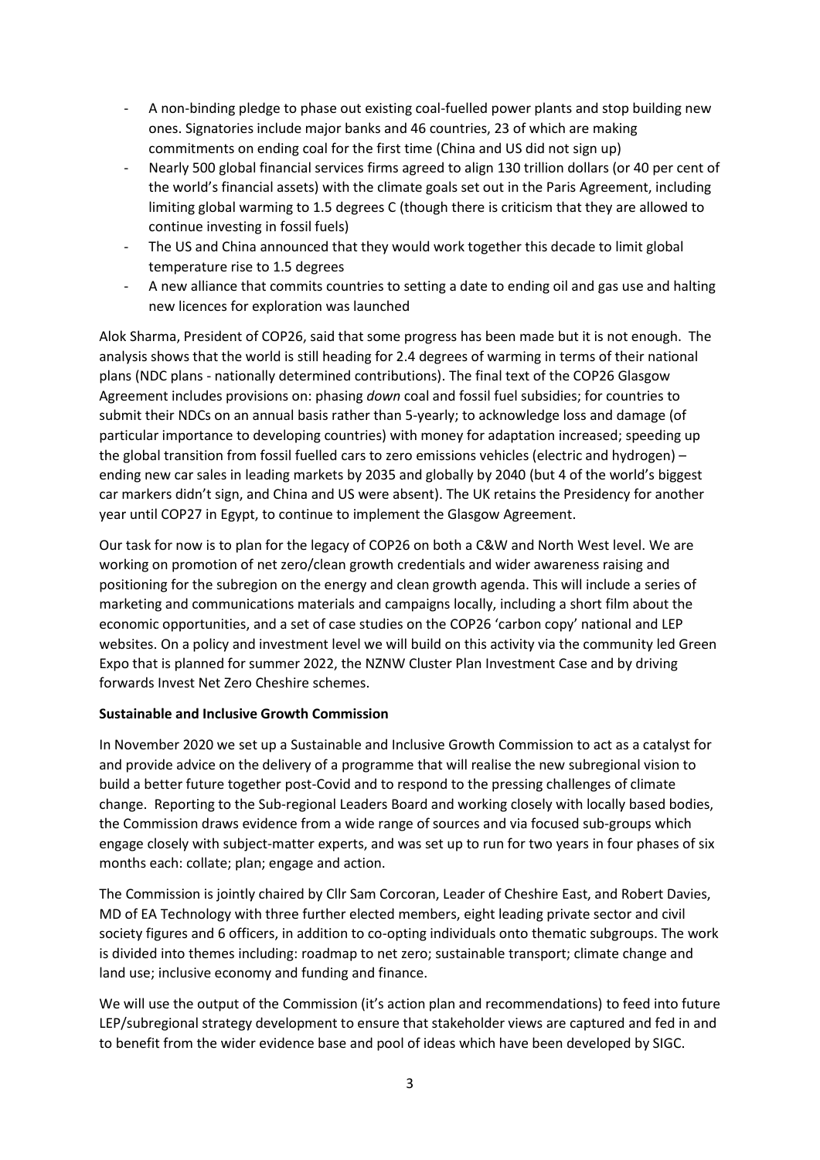- A non-binding pledge to phase out existing coal-fuelled power plants and stop building new ones. Signatories include major banks and 46 countries, 23 of which are making commitments on ending coal for the first time (China and US did not sign up)
- Nearly 500 global financial services firms agreed to align 130 trillion dollars (or 40 per cent of the world's financial assets) with the climate goals set out in the Paris Agreement, including limiting global warming to 1.5 degrees C (though there is criticism that they are allowed to continue investing in fossil fuels)
- The US and China announced that they would work together this decade to limit global temperature rise to 1.5 degrees
- A new alliance that commits countries to setting a date to ending oil and gas use and halting new licences for exploration was launched

Alok Sharma, President of COP26, said that some progress has been made but it is not enough. The analysis shows that the world is still heading for 2.4 degrees of warming in terms of their national plans (NDC plans - nationally determined contributions). The final text of the COP26 Glasgow Agreement includes provisions on: phasing *down* coal and fossil fuel subsidies; for countries to submit their NDCs on an annual basis rather than 5-yearly; to acknowledge loss and damage (of particular importance to developing countries) with money for adaptation increased; speeding up the global transition from fossil fuelled cars to zero emissions vehicles (electric and hydrogen) – ending new car sales in leading markets by 2035 and globally by 2040 (but 4 of the world's biggest car markers didn't sign, and China and US were absent). The UK retains the Presidency for another year until COP27 in Egypt, to continue to implement the Glasgow Agreement.

Our task for now is to plan for the legacy of COP26 on both a C&W and North West level. We are working on promotion of net zero/clean growth credentials and wider awareness raising and positioning for the subregion on the energy and clean growth agenda. This will include a series of marketing and communications materials and campaigns locally, including a short film about the economic opportunities, and a set of case studies on the COP26 'carbon copy' national and LEP websites. On a policy and investment level we will build on this activity via the community led Green Expo that is planned for summer 2022, the NZNW Cluster Plan Investment Case and by driving forwards Invest Net Zero Cheshire schemes.

#### **Sustainable and Inclusive Growth Commission**

In November 2020 we set up a Sustainable and Inclusive Growth Commission to act as a catalyst for and provide advice on the delivery of a programme that will realise the new subregional vision to build a better future together post-Covid and to respond to the pressing challenges of climate change. Reporting to the Sub-regional Leaders Board and working closely with locally based bodies, the Commission draws evidence from a wide range of sources and via focused sub-groups which engage closely with subject-matter experts, and was set up to run for two years in four phases of six months each: collate; plan; engage and action.

The Commission is jointly chaired by Cllr Sam Corcoran, Leader of Cheshire East, and Robert Davies, MD of EA Technology with three further elected members, eight leading private sector and civil society figures and 6 officers, in addition to co-opting individuals onto thematic subgroups. The work is divided into themes including: roadmap to net zero; sustainable transport; climate change and land use; inclusive economy and funding and finance.

We will use the output of the Commission (it's action plan and recommendations) to feed into future LEP/subregional strategy development to ensure that stakeholder views are captured and fed in and to benefit from the wider evidence base and pool of ideas which have been developed by SIGC.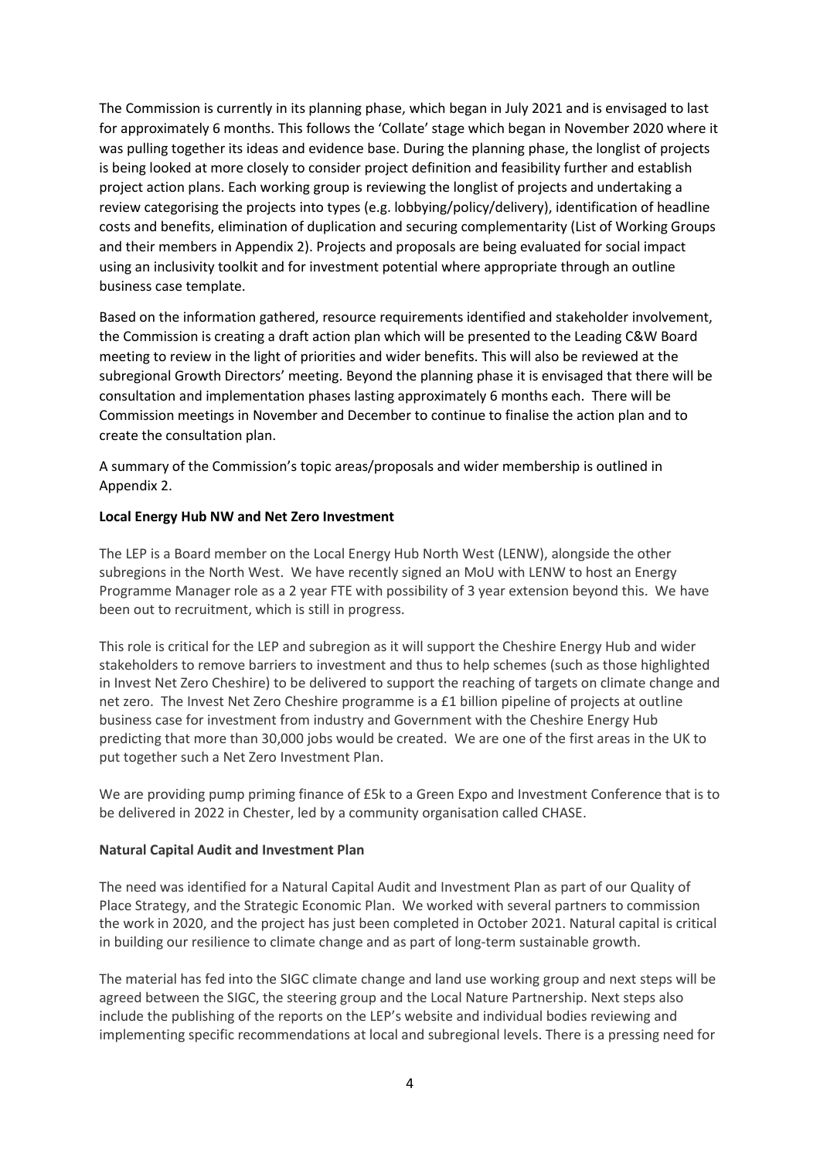The Commission is currently in its planning phase, which began in July 2021 and is envisaged to last for approximately 6 months. This follows the 'Collate' stage which began in November 2020 where it was pulling together its ideas and evidence base. During the planning phase, the longlist of projects is being looked at more closely to consider project definition and feasibility further and establish project action plans. Each working group is reviewing the longlist of projects and undertaking a review categorising the projects into types (e.g. lobbying/policy/delivery), identification of headline costs and benefits, elimination of duplication and securing complementarity (List of Working Groups and their members in Appendix 2). Projects and proposals are being evaluated for social impact using an inclusivity toolkit and for investment potential where appropriate through an outline business case template.

Based on the information gathered, resource requirements identified and stakeholder involvement, the Commission is creating a draft action plan which will be presented to the Leading C&W Board meeting to review in the light of priorities and wider benefits. This will also be reviewed at the subregional Growth Directors' meeting. Beyond the planning phase it is envisaged that there will be consultation and implementation phases lasting approximately 6 months each. There will be Commission meetings in November and December to continue to finalise the action plan and to create the consultation plan.

A summary of the Commission's topic areas/proposals and wider membership is outlined in Appendix 2.

### **Local Energy Hub NW and Net Zero Investment**

The LEP is a Board member on the Local Energy Hub North West (LENW), alongside the other subregions in the North West. We have recently signed an MoU with LENW to host an Energy Programme Manager role as a 2 year FTE with possibility of 3 year extension beyond this. We have been out to recruitment, which is still in progress.

This role is critical for the LEP and subregion as it will support the Cheshire Energy Hub and wider stakeholders to remove barriers to investment and thus to help schemes (such as those highlighted in Invest Net Zero Cheshire) to be delivered to support the reaching of targets on climate change and net zero. The Invest Net Zero Cheshire programme is a £1 billion pipeline of projects at outline business case for investment from industry and Government with the Cheshire Energy Hub predicting that more than 30,000 jobs would be created. We are one of the first areas in the UK to put together such a Net Zero Investment Plan.

We are providing pump priming finance of £5k to a Green Expo and Investment Conference that is to be delivered in 2022 in Chester, led by a community organisation called CHASE.

#### **Natural Capital Audit and Investment Plan**

The need was identified for a Natural Capital Audit and Investment Plan as part of our Quality of Place Strategy, and the Strategic Economic Plan. We worked with several partners to commission the work in 2020, and the project has just been completed in October 2021. Natural capital is critical in building our resilience to climate change and as part of long-term sustainable growth.

The material has fed into the SIGC climate change and land use working group and next steps will be agreed between the SIGC, the steering group and the Local Nature Partnership. Next steps also include the publishing of the reports on the LEP's website and individual bodies reviewing and implementing specific recommendations at local and subregional levels. There is a pressing need for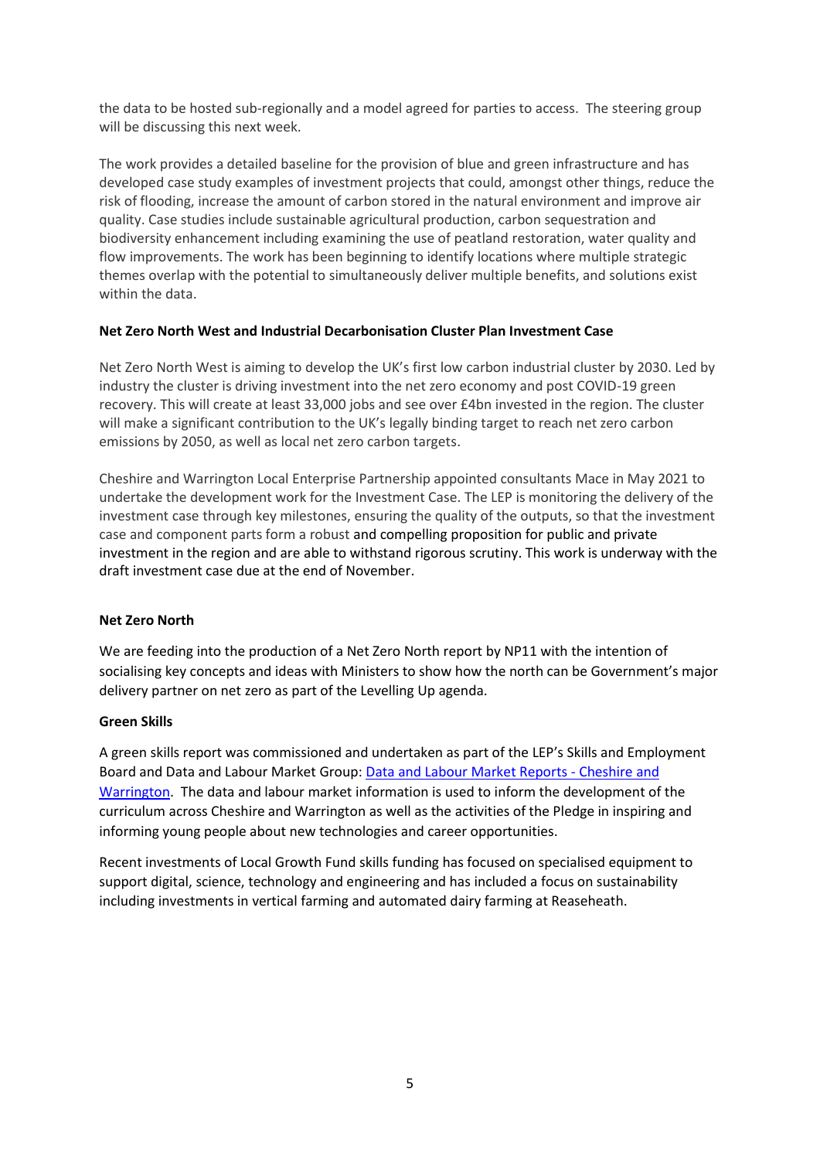the data to be hosted sub-regionally and a model agreed for parties to access. The steering group will be discussing this next week.

The work provides a detailed baseline for the provision of blue and green infrastructure and has developed case study examples of investment projects that could, amongst other things, reduce the risk of flooding, increase the amount of carbon stored in the natural environment and improve air quality. Case studies include sustainable agricultural production, carbon sequestration and biodiversity enhancement including examining the use of peatland restoration, water quality and flow improvements. The work has been beginning to identify locations where multiple strategic themes overlap with the potential to simultaneously deliver multiple benefits, and solutions exist within the data.

### **Net Zero North West and Industrial Decarbonisation Cluster Plan Investment Case**

Net Zero North West is aiming to develop the UK's first low carbon industrial cluster by 2030. Led by industry the cluster is driving investment into the net zero economy and post COVID-19 green recovery. This will create at least 33,000 jobs and see over £4bn invested in the region. The cluster will make a significant contribution to the UK's legally binding target to reach net zero carbon emissions by 2050, as well as local net zero carbon targets.

Cheshire and Warrington Local Enterprise Partnership appointed consultants Mace in May 2021 to undertake the development work for the Investment Case. The LEP is monitoring the delivery of the investment case through key milestones, ensuring the quality of the outputs, so that the investment case and component parts form a robust and compelling proposition for public and private investment in the region and are able to withstand rigorous scrutiny. This work is underway with the draft investment case due at the end of November.

#### **Net Zero North**

We are feeding into the production of a Net Zero North report by NP11 with the intention of socialising key concepts and ideas with Ministers to show how the north can be Government's major delivery partner on net zero as part of the Levelling Up agenda.

#### **Green Skills**

A green skills report was commissioned and undertaken as part of the LEP's Skills and Employment Board and Data and Labour Market Group[: Data and Labour Market Reports -](https://cheshireandwarrington.com/what-we-do/skills-and-education/data-and-labour-market-information/data-and-labour-market-reports/) Cheshire and [Warrington.](https://cheshireandwarrington.com/what-we-do/skills-and-education/data-and-labour-market-information/data-and-labour-market-reports/) The data and labour market information is used to inform the development of the curriculum across Cheshire and Warrington as well as the activities of the Pledge in inspiring and informing young people about new technologies and career opportunities.

Recent investments of Local Growth Fund skills funding has focused on specialised equipment to support digital, science, technology and engineering and has included a focus on sustainability including investments in vertical farming and automated dairy farming at Reaseheath.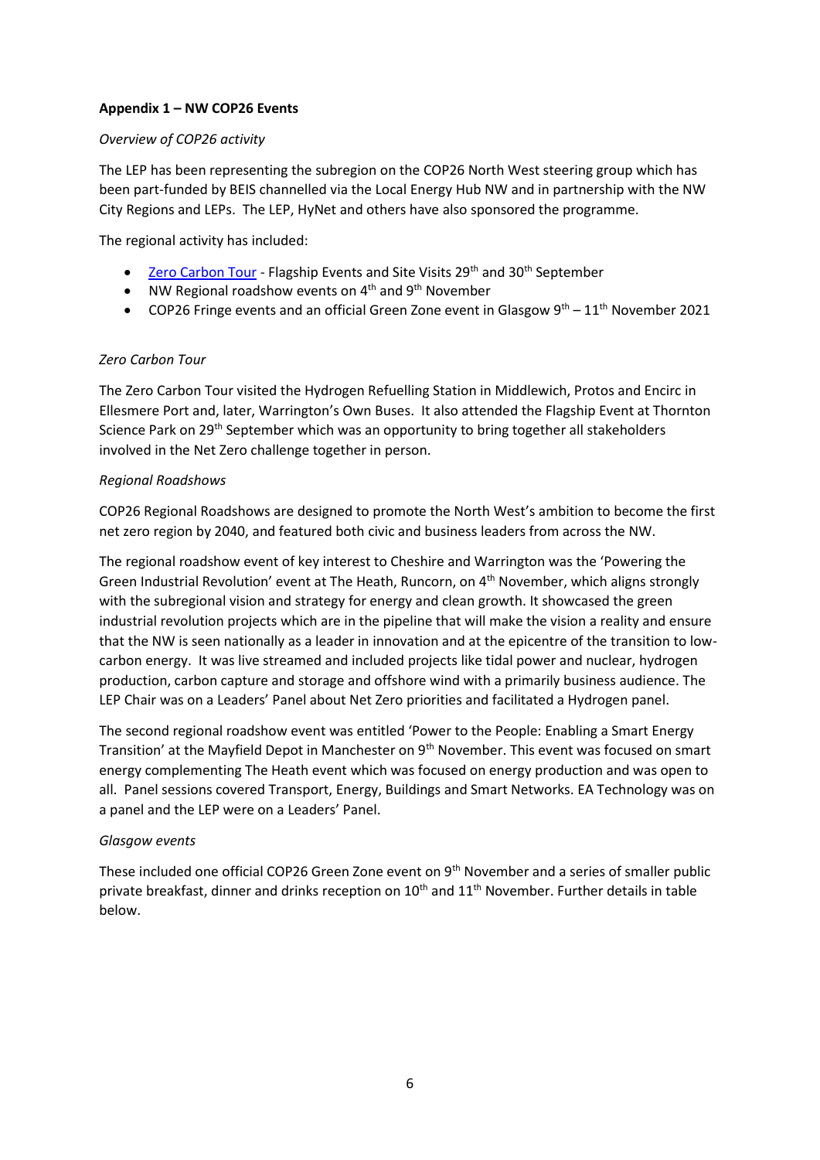### **Appendix 1 – NW COP26 Events**

#### *Overview of COP26 activity*

The LEP has been representing the subregion on the COP26 North West steering group which has been part-funded by BEIS channelled via the Local Energy Hub NW and in partnership with the NW City Regions and LEPs. The LEP, HyNet and others have also sponsored the programme.

The regional activity has included:

- [Zero Carbon Tour](https://tour.planetmark.com/) Flagship Events and Site Visits 29<sup>th</sup> and 30<sup>th</sup> September
- NW Regional roadshow events on  $4<sup>th</sup>$  and  $9<sup>th</sup>$  November
- COP26 Fringe events and an official Green Zone event in Glasgow  $9^{th} 11^{th}$  November 2021

#### *Zero Carbon Tour*

The Zero Carbon Tour visited the Hydrogen Refuelling Station in Middlewich, Protos and Encirc in Ellesmere Port and, later, Warrington's Own Buses. It also attended the Flagship Event at Thornton Science Park on 29<sup>th</sup> September which was an opportunity to bring together all stakeholders involved in the Net Zero challenge together in person.

#### *Regional Roadshows*

COP26 Regional Roadshows are designed to promote the North West's ambition to become the first net zero region by 2040, and featured both civic and business leaders from across the NW.

The regional roadshow event of key interest to Cheshire and Warrington was the 'Powering the Green Industrial Revolution' event at The Heath, Runcorn, on 4<sup>th</sup> November, which aligns strongly with the subregional vision and strategy for energy and clean growth. It showcased the green industrial revolution projects which are in the pipeline that will make the vision a reality and ensure that the NW is seen nationally as a leader in innovation and at the epicentre of the transition to lowcarbon energy. It was live streamed and included projects like tidal power and nuclear, hydrogen production, carbon capture and storage and offshore wind with a primarily business audience. The LEP Chair was on a Leaders' Panel about Net Zero priorities and facilitated a Hydrogen panel.

The second regional roadshow event was entitled 'Power to the People: Enabling a Smart Energy Transition' at the Mayfield Depot in Manchester on 9<sup>th</sup> November. This event was focused on smart energy complementing The Heath event which was focused on energy production and was open to all. Panel sessions covered Transport, Energy, Buildings and Smart Networks. EA Technology was on a panel and the LEP were on a Leaders' Panel.

#### *Glasgow events*

These included one official COP26 Green Zone event on 9<sup>th</sup> November and a series of smaller public private breakfast, dinner and drinks reception on 10<sup>th</sup> and 11<sup>th</sup> November. Further details in table below.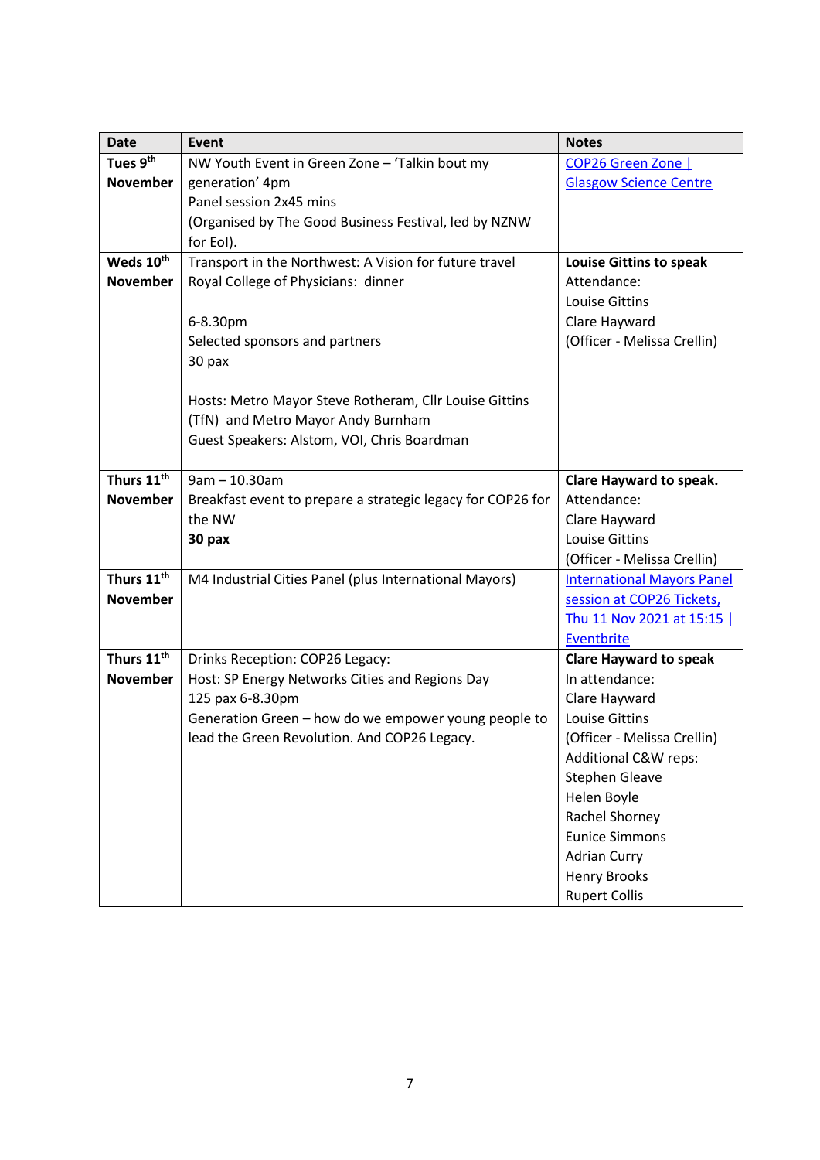| <b>Date</b>            | Event                                                       | <b>Notes</b>                      |  |
|------------------------|-------------------------------------------------------------|-----------------------------------|--|
| Tues 9 <sup>th</sup>   | NW Youth Event in Green Zone - 'Talkin bout my              | COP26 Green Zone                  |  |
| <b>November</b>        | generation' 4pm                                             | <b>Glasgow Science Centre</b>     |  |
|                        | Panel session 2x45 mins                                     |                                   |  |
|                        | (Organised by The Good Business Festival, led by NZNW       |                                   |  |
|                        | for EoI).                                                   |                                   |  |
| Weds 10th              | Transport in the Northwest: A Vision for future travel      | <b>Louise Gittins to speak</b>    |  |
| <b>November</b>        | Royal College of Physicians: dinner                         | Attendance:                       |  |
|                        |                                                             | <b>Louise Gittins</b>             |  |
|                        | 6-8.30pm                                                    | Clare Hayward                     |  |
|                        | Selected sponsors and partners                              | (Officer - Melissa Crellin)       |  |
|                        | 30 pax                                                      |                                   |  |
|                        |                                                             |                                   |  |
|                        | Hosts: Metro Mayor Steve Rotheram, Cllr Louise Gittins      |                                   |  |
|                        | (TfN) and Metro Mayor Andy Burnham                          |                                   |  |
|                        | Guest Speakers: Alstom, VOI, Chris Boardman                 |                                   |  |
|                        |                                                             |                                   |  |
| Thurs 11 <sup>th</sup> | $9am - 10.30am$                                             | Clare Hayward to speak.           |  |
| <b>November</b>        | Breakfast event to prepare a strategic legacy for COP26 for | Attendance:                       |  |
|                        | the NW                                                      | Clare Hayward                     |  |
|                        | 30 pax                                                      | <b>Louise Gittins</b>             |  |
|                        |                                                             | (Officer - Melissa Crellin)       |  |
| Thurs 11 <sup>th</sup> | M4 Industrial Cities Panel (plus International Mayors)      | <b>International Mayors Panel</b> |  |
| <b>November</b>        |                                                             | session at COP26 Tickets,         |  |
|                        |                                                             | Thu 11 Nov 2021 at 15:15          |  |
| Thurs 11 <sup>th</sup> |                                                             | Eventbrite                        |  |
|                        | Drinks Reception: COP26 Legacy:                             | <b>Clare Hayward to speak</b>     |  |
| <b>November</b>        | Host: SP Energy Networks Cities and Regions Day             | In attendance:                    |  |
|                        | 125 pax 6-8.30pm                                            | Clare Hayward                     |  |
|                        | Generation Green - how do we empower young people to        | <b>Louise Gittins</b>             |  |
|                        | lead the Green Revolution. And COP26 Legacy.                | (Officer - Melissa Crellin)       |  |
|                        |                                                             | Additional C&W reps:              |  |
|                        |                                                             | <b>Stephen Gleave</b>             |  |
|                        |                                                             | Helen Boyle                       |  |
|                        |                                                             | Rachel Shorney                    |  |
|                        |                                                             | <b>Eunice Simmons</b>             |  |
|                        |                                                             | <b>Adrian Curry</b>               |  |
|                        |                                                             | <b>Henry Brooks</b>               |  |
|                        |                                                             | <b>Rupert Collis</b>              |  |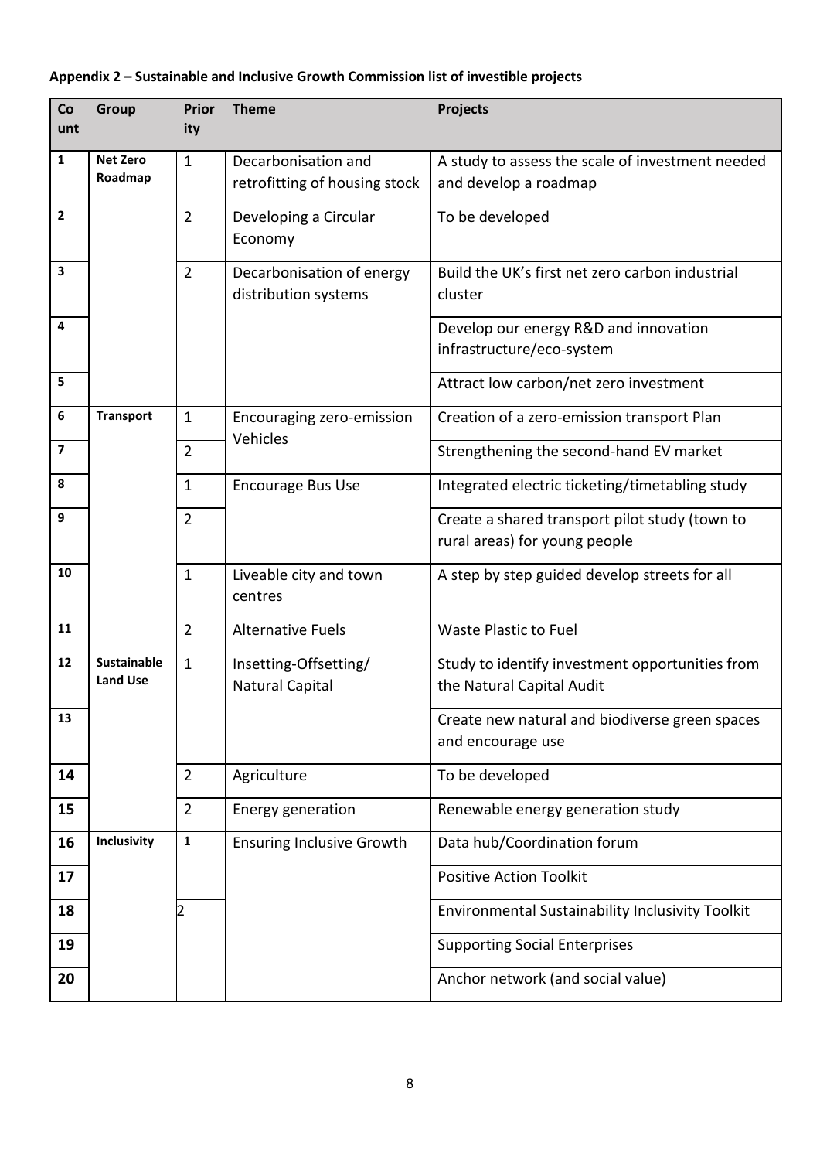| Co<br>unt               | Group                                 | Prior<br>ity   | <b>Theme</b>                                         | <b>Projects</b>                                                                 |
|-------------------------|---------------------------------------|----------------|------------------------------------------------------|---------------------------------------------------------------------------------|
| 1                       | <b>Net Zero</b><br>Roadmap            | $\mathbf{1}$   | Decarbonisation and<br>retrofitting of housing stock | A study to assess the scale of investment needed<br>and develop a roadmap       |
| $\overline{2}$          |                                       | $\overline{2}$ | Developing a Circular<br>Economy                     | To be developed                                                                 |
| 3                       |                                       | $\overline{2}$ | Decarbonisation of energy<br>distribution systems    | Build the UK's first net zero carbon industrial<br>cluster                      |
| 4                       |                                       |                |                                                      | Develop our energy R&D and innovation<br>infrastructure/eco-system              |
| 5                       |                                       |                |                                                      | Attract low carbon/net zero investment                                          |
| $\boldsymbol{6}$        | <b>Transport</b>                      | $\mathbf{1}$   | Encouraging zero-emission                            | Creation of a zero-emission transport Plan                                      |
| $\overline{\mathbf{z}}$ |                                       | $\overline{2}$ | Vehicles                                             | Strengthening the second-hand EV market                                         |
| 8                       |                                       | $\mathbf{1}$   | <b>Encourage Bus Use</b>                             | Integrated electric ticketing/timetabling study                                 |
| 9                       |                                       | $\overline{2}$ |                                                      | Create a shared transport pilot study (town to<br>rural areas) for young people |
| 10                      |                                       | $\mathbf{1}$   | Liveable city and town<br>centres                    | A step by step guided develop streets for all                                   |
| 11                      |                                       | $\overline{2}$ | <b>Alternative Fuels</b>                             | Waste Plastic to Fuel                                                           |
| 12                      | <b>Sustainable</b><br><b>Land Use</b> | $\mathbf{1}$   | Insetting-Offsetting/<br><b>Natural Capital</b>      | Study to identify investment opportunities from<br>the Natural Capital Audit    |
| 13                      |                                       |                |                                                      | Create new natural and biodiverse green spaces<br>and encourage use             |
| 14                      |                                       | $\overline{2}$ | Agriculture                                          | To be developed                                                                 |
| 15                      |                                       | $\overline{2}$ | Energy generation                                    | Renewable energy generation study                                               |
| 16                      | Inclusivity                           | $\mathbf{1}$   | <b>Ensuring Inclusive Growth</b>                     | Data hub/Coordination forum                                                     |
| 17                      |                                       |                |                                                      | <b>Positive Action Toolkit</b>                                                  |
| 18                      |                                       |                |                                                      | Environmental Sustainability Inclusivity Toolkit                                |
| 19                      |                                       |                |                                                      | <b>Supporting Social Enterprises</b>                                            |
| 20                      |                                       |                |                                                      | Anchor network (and social value)                                               |

# **Appendix 2 – Sustainable and Inclusive Growth Commission list of investible projects**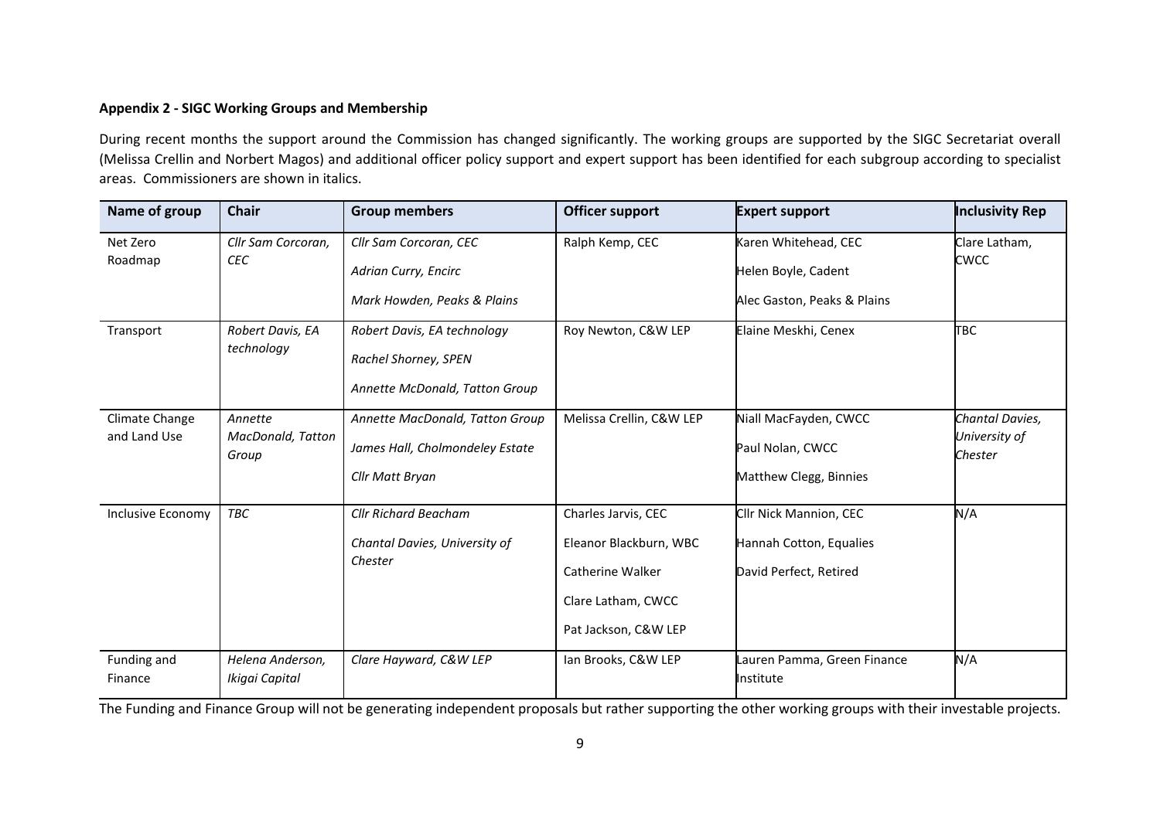## **Appendix 2 - SIGC Working Groups and Membership**

During recent months the support around the Commission has changed significantly. The working groups are supported by the SIGC Secretariat overall (Melissa Crellin and Norbert Magos) and additional officer policy support and expert support has been identified for each subgroup according to specialist areas. Commissioners are shown in italics.

| Name of group                  | <b>Chair</b>                          | <b>Group members</b>                                                                  | <b>Officer support</b>                                                                                          | <b>Expert support</b>                                                       | <b>Inclusivity Rep</b>                      |
|--------------------------------|---------------------------------------|---------------------------------------------------------------------------------------|-----------------------------------------------------------------------------------------------------------------|-----------------------------------------------------------------------------|---------------------------------------------|
| Net Zero<br>Roadmap            | Cllr Sam Corcoran,<br><b>CEC</b>      | Cllr Sam Corcoran, CEC<br>Adrian Curry, Encirc<br>Mark Howden, Peaks & Plains         | Ralph Kemp, CEC                                                                                                 | Karen Whitehead, CEC<br>Helen Boyle, Cadent<br>Alec Gaston, Peaks & Plains  | Clare Latham,<br>CWCC                       |
| Transport                      | Robert Davis, EA<br>technology        | Robert Davis, EA technology<br>Rachel Shorney, SPEN<br>Annette McDonald, Tatton Group | Roy Newton, C&W LEP                                                                                             | Elaine Meskhi, Cenex                                                        | TBC                                         |
| Climate Change<br>and Land Use | Annette<br>MacDonald, Tatton<br>Group | Annette MacDonald, Tatton Group<br>James Hall, Cholmondeley Estate<br>Cllr Matt Bryan | Melissa Crellin, C&W LEP                                                                                        | Niall MacFayden, CWCC<br>Paul Nolan, CWCC<br>Matthew Clegg, Binnies         | Chantal Davies,<br>University of<br>Chester |
| Inclusive Economy              | TBC                                   | <b>Cllr Richard Beacham</b><br>Chantal Davies, University of<br>Chester               | Charles Jarvis, CEC<br>Eleanor Blackburn, WBC<br>Catherine Walker<br>Clare Latham, CWCC<br>Pat Jackson, C&W LEP | Cllr Nick Mannion, CEC<br>Hannah Cotton, Equalies<br>David Perfect, Retired | N/A                                         |
| Funding and<br>Finance         | Helena Anderson,<br>Ikigai Capital    | Clare Hayward, C&W LEP                                                                | Ian Brooks, C&W LEP                                                                                             | Lauren Pamma, Green Finance<br>Institute                                    | N/A                                         |

The Funding and Finance Group will not be generating independent proposals but rather supporting the other working groups with their investable projects.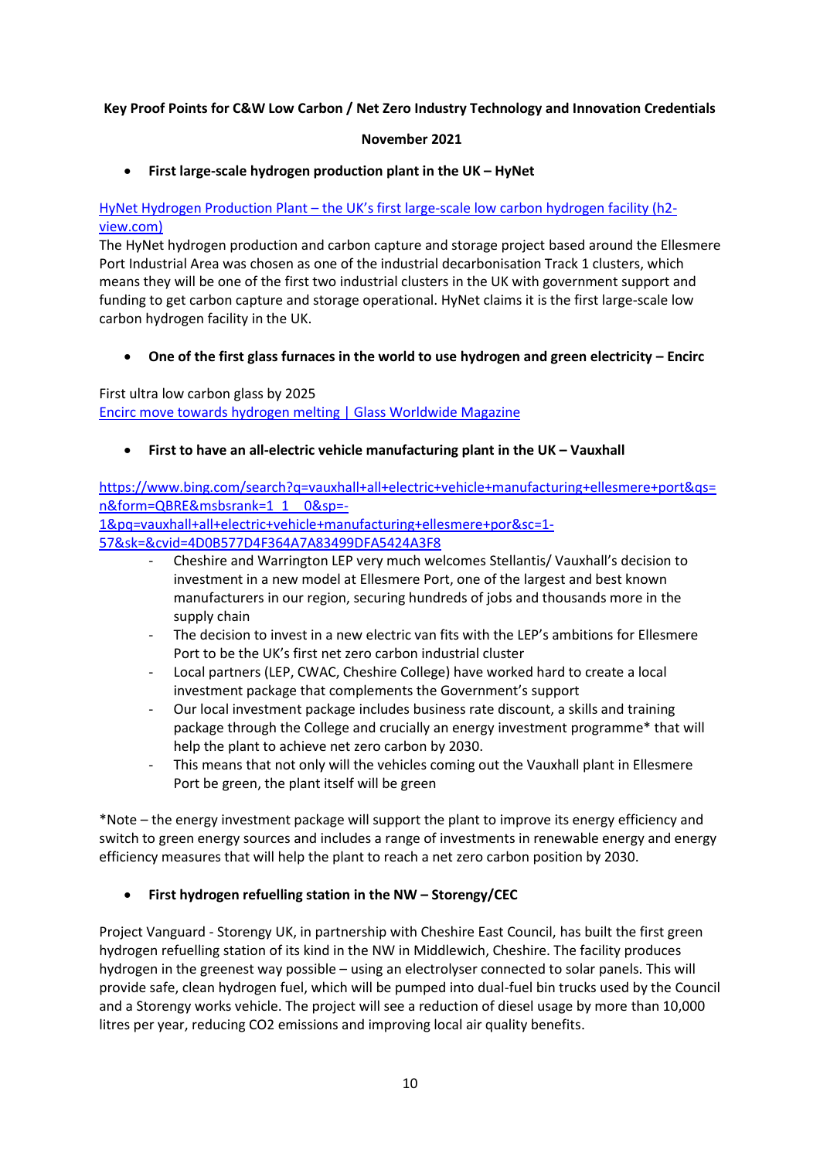## **Key Proof Points for C&W Low Carbon / Net Zero Industry Technology and Innovation Credentials**

## **November 2021**

• **First large-scale hydrogen production plant in the UK – HyNet**

## HyNet Hydrogen Production Plant – the UK's first large[-scale low carbon hydrogen facility \(h2](https://www.h2-view.com/story/hynet-hydrogen-production-plant-the-uks-first-large-scale-low-carbon-hydrogen-facility/#:~:text=At%20the%20heart%20of%20HyNet%20will%20sit%20the,%28FEED%29....%20to%20continue%20reading%20you%20must%20be%20subscribed) [view.com\)](https://www.h2-view.com/story/hynet-hydrogen-production-plant-the-uks-first-large-scale-low-carbon-hydrogen-facility/#:~:text=At%20the%20heart%20of%20HyNet%20will%20sit%20the,%28FEED%29....%20to%20continue%20reading%20you%20must%20be%20subscribed)

The HyNet hydrogen production and carbon capture and storage project based around the Ellesmere Port Industrial Area was chosen as one of the industrial decarbonisation Track 1 clusters, which means they will be one of the first two industrial clusters in the UK with government support and funding to get carbon capture and storage operational. HyNet claims it is the first large-scale low carbon hydrogen facility in the UK.

• **One of the first glass furnaces in the world to use hydrogen and green electricity – Encirc**

First ultra low carbon glass by 2025 [Encirc move towards hydrogen melting | Glass Worldwide Magazine](https://www.glassworldwide.co.uk/industry-announcements/encirc-move-towards-hydrogen-melting)

• **First to have an all-electric vehicle manufacturing plant in the UK – Vauxhall** 

[https://www.bing.com/search?q=vauxhall+all+electric+vehicle+manufacturing+ellesmere+port&qs=](https://www.bing.com/search?q=vauxhall+all+electric+vehicle+manufacturing+ellesmere+port&qs=n&form=QBRE&msbsrank=1_1__0&sp=-1&pq=vauxhall+all+electric+vehicle+manufacturing+ellesmere+por&sc=1-57&sk=&cvid=4D0B577D4F364A7A83499DFA5424A3F8) [n&form=QBRE&msbsrank=1\\_1\\_\\_0&sp=-](https://www.bing.com/search?q=vauxhall+all+electric+vehicle+manufacturing+ellesmere+port&qs=n&form=QBRE&msbsrank=1_1__0&sp=-1&pq=vauxhall+all+electric+vehicle+manufacturing+ellesmere+por&sc=1-57&sk=&cvid=4D0B577D4F364A7A83499DFA5424A3F8)

[1&pq=vauxhall+all+electric+vehicle+manufacturing+ellesmere+por&sc=1-](https://www.bing.com/search?q=vauxhall+all+electric+vehicle+manufacturing+ellesmere+port&qs=n&form=QBRE&msbsrank=1_1__0&sp=-1&pq=vauxhall+all+electric+vehicle+manufacturing+ellesmere+por&sc=1-57&sk=&cvid=4D0B577D4F364A7A83499DFA5424A3F8)

[57&sk=&cvid=4D0B577D4F364A7A83499DFA5424A3F8](https://www.bing.com/search?q=vauxhall+all+electric+vehicle+manufacturing+ellesmere+port&qs=n&form=QBRE&msbsrank=1_1__0&sp=-1&pq=vauxhall+all+electric+vehicle+manufacturing+ellesmere+por&sc=1-57&sk=&cvid=4D0B577D4F364A7A83499DFA5424A3F8)

- Cheshire and Warrington LEP very much welcomes Stellantis/ Vauxhall's decision to investment in a new model at Ellesmere Port, one of the largest and best known manufacturers in our region, securing hundreds of jobs and thousands more in the supply chain
- The decision to invest in a new electric van fits with the LEP's ambitions for Ellesmere Port to be the UK's first net zero carbon industrial cluster
- Local partners (LEP, CWAC, Cheshire College) have worked hard to create a local investment package that complements the Government's support
- Our local investment package includes business rate discount, a skills and training package through the College and crucially an energy investment programme\* that will help the plant to achieve net zero carbon by 2030.
- This means that not only will the vehicles coming out the Vauxhall plant in Ellesmere Port be green, the plant itself will be green

\*Note – the energy investment package will support the plant to improve its energy efficiency and switch to green energy sources and includes a range of investments in renewable energy and energy efficiency measures that will help the plant to reach a net zero carbon position by 2030.

## • **First hydrogen refuelling station in the NW – Storengy/CEC**

Project Vanguard - Storengy UK, in partnership with Cheshire East Council, has built the first green hydrogen refuelling station of its kind in the NW in Middlewich, Cheshire. The facility produces hydrogen in the greenest way possible – using an electrolyser connected to solar panels. This will provide safe, clean hydrogen fuel, which will be pumped into dual-fuel bin trucks used by the Council and a Storengy works vehicle. The project will see a reduction of diesel usage by more than 10,000 litres per year, reducing CO2 emissions and improving local air quality benefits.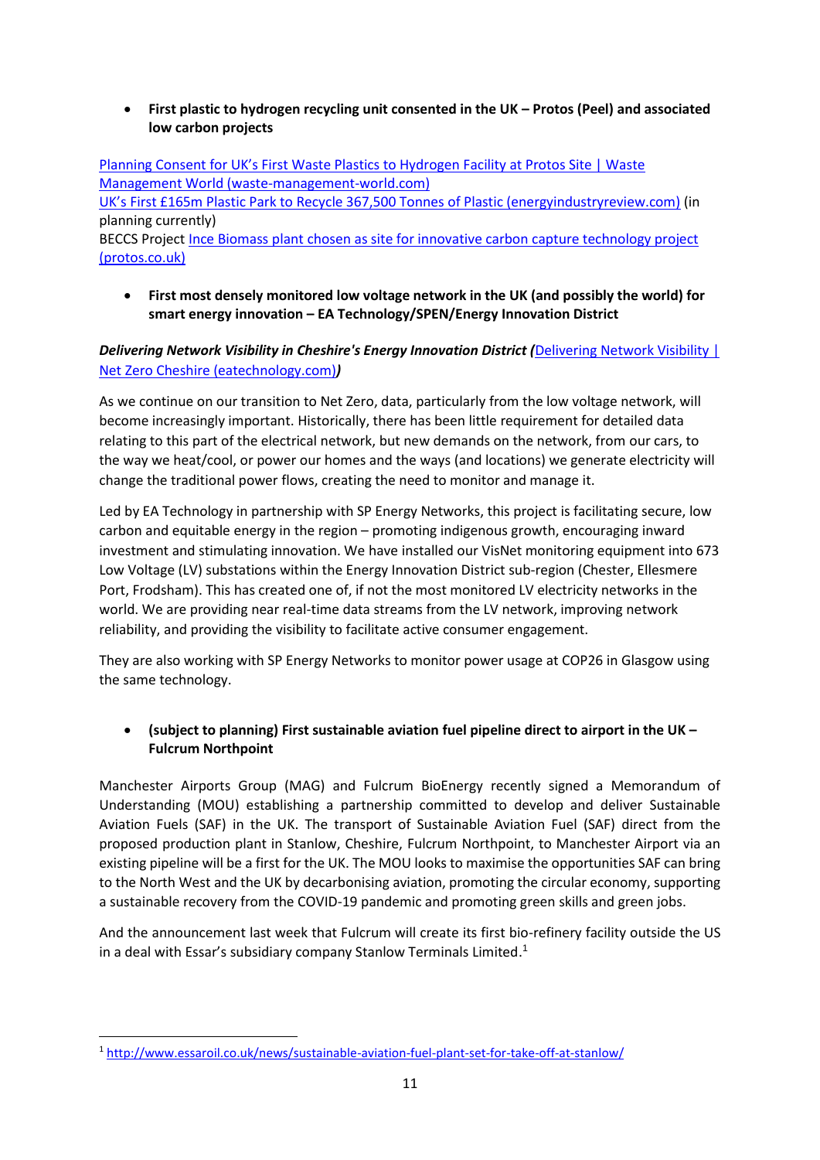• **First plastic to hydrogen recycling unit consented in the UK – Protos (Peel) and associated low carbon projects** 

[Planning Consent for UK's First Waste Plastics to Hydrogen Facility at Protos Site | Waste](https://waste-management-world.com/a/planning-consent-for-uk-s-first-waste-plastics-to-hydrogen-facility-at-protos-site)  [Management World \(waste-management-world.com\)](https://waste-management-world.com/a/planning-consent-for-uk-s-first-waste-plastics-to-hydrogen-facility-at-protos-site) UK's First £165m Plasti[c Park to Recycle 367,500 Tonnes of Plastic \(energyindustryreview.com\)](https://energyindustryreview.com/environment/uks-first-165m-plastic-park-to-recycle-367500-tonnes-of-plastic/#:~:text=Two%20facilities%20at%20the%20Plastic%20Park%20have%20already,them%20for%20use%20in%20making%20new%20packaging%20products.) (in planning currently) BECCS Project Ince Biomass [plant chosen as site for innovative carbon capture technology project](https://www.protos.co.uk/news/news-ince-biomass-plant-chosen-as-site-for-innovative-carbon-capture-technology-project/)  [\(protos.co.uk\)](https://www.protos.co.uk/news/news-ince-biomass-plant-chosen-as-site-for-innovative-carbon-capture-technology-project/)

• **First most densely monitored low voltage network in the UK (and possibly the world) for smart energy innovation – EA Technology/SPEN/Energy Innovation District** 

## *Delivering Network Visibility in Cheshire's Energy Innovation District (*[Delivering Network Visibility |](https://netzerocheshire.eatechnology.com/delivering-network-visibility/)  [Net Zero Cheshire \(eatechnology.com\)](https://netzerocheshire.eatechnology.com/delivering-network-visibility/)*)*

As we continue on our transition to Net Zero, data, particularly from the low voltage network, will become increasingly important. Historically, there has been little requirement for detailed data relating to this part of the electrical network, but new demands on the network, from our cars, to the way we heat/cool, or power our homes and the ways (and locations) we generate electricity will change the traditional power flows, creating the need to monitor and manage it.

Led by EA Technology in partnership with SP Energy Networks, this project is facilitating secure, low carbon and equitable energy in the region – promoting indigenous growth, encouraging inward investment and stimulating innovation. We have installed our VisNet monitoring equipment into 673 Low Voltage (LV) substations within the Energy Innovation District sub-region (Chester, Ellesmere Port, Frodsham). This has created one of, if not the most monitored LV electricity networks in the world. We are providing near real-time data streams from the LV network, improving network reliability, and providing the visibility to facilitate active consumer engagement.

They are also working with SP Energy Networks to monitor power usage at COP26 in Glasgow using the same technology.

## • **(subject to planning) First sustainable aviation fuel pipeline direct to airport in the UK – Fulcrum Northpoint**

Manchester Airports Group (MAG) and Fulcrum BioEnergy recently signed a Memorandum of Understanding (MOU) establishing a partnership committed to develop and deliver Sustainable Aviation Fuels (SAF) in the UK. The transport of Sustainable Aviation Fuel (SAF) direct from the proposed production plant in Stanlow, Cheshire, Fulcrum Northpoint, to Manchester Airport via an existing pipeline will be a first for the UK. The MOU looks to maximise the opportunities SAF can bring to the North West and the UK by decarbonising aviation, promoting the circular economy, supporting a sustainable recovery from the COVID-19 pandemic and promoting green skills and green jobs.

And the announcement last week that Fulcrum will create its first bio-refinery facility outside the US in a deal with Essar's subsidiary company Stanlow Terminals Limited.<sup>1</sup>

<sup>1</sup> <http://www.essaroil.co.uk/news/sustainable-aviation-fuel-plant-set-for-take-off-at-stanlow/>